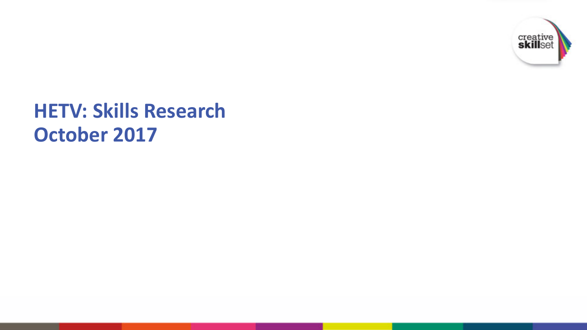

### **HETV: Skills Research October 2017**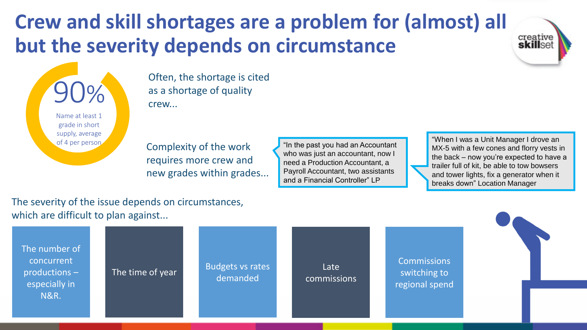### **Crew and skill shortages are a problem for (almost) all but the severity depends on circumstance**

90% Name at least 1 grade in short supply, average of 4 per person

Often, the shortage is cited as a shortage of quality crew...

Complexity of the work requires more crew and new grades within grades...

"In the past you had an Accountant who was just an accountant, now I need a Production Accountant, a Payroll Accountant, two assistants and a Financial Controller" LP

"When I was a Unit Manager I drove an MX-5 with a few cones and florry vests in the back – now you're expected to have a trailer full of kit, be able to tow bowsers and tower lights, fix a generator when it breaks down" Location Manager

creative skillset

#### The severity of the issue depends on circumstances, which are difficult to plan against...

| The number of<br>concurrent<br>productions -<br>especially in<br><b>N&amp;R.</b> | The time of year | Budgets vs rates<br>demanded | Late<br>commissions | <b>Commissions</b><br>switching to<br>regional spend |  |
|----------------------------------------------------------------------------------|------------------|------------------------------|---------------------|------------------------------------------------------|--|
|----------------------------------------------------------------------------------|------------------|------------------------------|---------------------|------------------------------------------------------|--|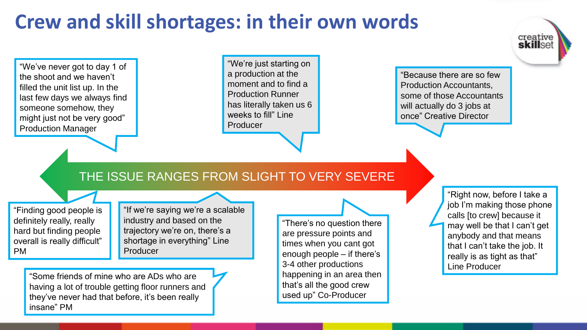### **Crew and skill shortages: in their own words**

"We've never got to day 1 of the shoot and we haven't filled the unit list up. In the last few days we always find someone somehow, they might just not be very good" Production Manager

"We're just starting on a production at the moment and to find a Production Runner has literally taken us 6 weeks to fill" Line Producer

"Because there are so few Production Accountants, some of those Accountants will actually do 3 jobs at once" Creative Director

#### THE ISSUE RANGES FROM SLIGHT TO VERY SEVERE

"Finding good people is definitely really, really hard but finding people overall is really difficult" PM

"If we're saying we're a scalable industry and based on the trajectory we're on, there's a shortage in everything" Line Producer

"Some friends of mine who are ADs who are having a lot of trouble getting floor runners and they've never had that before, it's been really insane" PM

"There's no question there are pressure points and times when you cant got enough people – if there's 3-4 other productions happening in an area then that's all the good crew used up" Co-Producer

"Right now, before I take a job I'm making those phone calls [to crew] because it may well be that I can't get anybody and that means that I can't take the job. It really is as tight as that" Line Producer

creative<br>**skill**set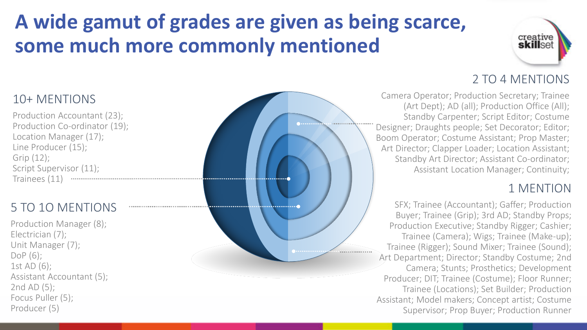### **A wide gamut of grades are given as being scarce, some much more commonly mentioned**



#### 10+ MENTIONS

Production Accountant (23); Production Co-ordinator (19); Location Manager (17); Line Producer (15); Grip (12); Script Supervisor (11); Trainees (11)

### 5 TO 1O MENTIONS

Production Manager (8); Electrician (7); Unit Manager (7); DoP (6); 1st AD (6); Assistant Accountant (5); 2nd AD (5); Focus Puller (5); Producer (5)



### 2 TO 4 MENTIONS

Camera Operator; Production Secretary; Trainee (Art Dept); AD (all); Production Office (All); Standby Carpenter; Script Editor; Costume Designer; Draughts people; Set Decorator; Editor; Boom Operator; Costume Assistant; Prop Master; Art Director; Clapper Loader; Location Assistant; Standby Art Director; Assistant Co-ordinator; Assistant Location Manager; Continuity;

#### 1 MENTION

SFX; Trainee (Accountant); Gaffer; Production Buyer; Trainee (Grip); 3rd AD; Standby Props; Production Executive; Standby Rigger; Cashier; Trainee (Camera); Wigs; Trainee (Make-up); Trainee (Rigger); Sound Mixer; Trainee (Sound); Art Department; Director; Standby Costume; 2nd Camera; Stunts; Prosthetics; Development Producer; DIT; Trainee (Costume); Floor Runner; Trainee (Locations); Set Builder; Production Assistant; Model makers; Concept artist; Costume Supervisor; Prop Buyer; Production Runner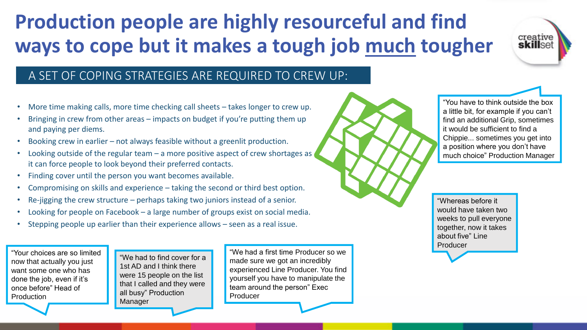### **Production people are highly resourceful and find ways to cope but it makes a tough job much tougher**



#### A SET OF COPING STRATEGIES ARE REQUIRED TO CREW UP:

- More time making calls, more time checking call sheets takes longer to crew up.
- Bringing in crew from other areas impacts on budget if you're putting them up and paying per diems.
- Booking crew in earlier not always feasible without a greenlit production.
- Looking outside of the regular team  $-$  a more positive aspect of crew shortages as it can force people to look beyond their preferred contacts.
- Finding cover until the person you want becomes available.
- Compromising on skills and experience taking the second or third best option.
- Re-jigging the crew structure perhaps taking two juniors instead of a senior.
- Looking for people on Facebook  $-$  a large number of groups exist on social media.
- Stepping people up earlier than their experience allows seen as a real issue.

"Your choices are so limited now that actually you just want some one who has done the job, even if it's once before" Head of Production

"We had to find cover for a 1st AD and I think there were 15 people on the list that I called and they were all busy" Production Manager

"We had a first time Producer so we made sure we got an incredibly experienced Line Producer. You find yourself you have to manipulate the team around the person" Exec Producer



"Whereas before it would have taken two weeks to pull everyone together, now it takes about five" Line Producer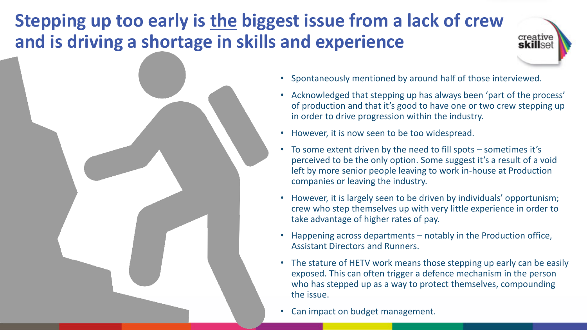### **Stepping up too early is the biggest issue from a lack of crew and is driving a shortage in skills and experience**



- Spontaneously mentioned by around half of those interviewed.
- Acknowledged that stepping up has always been 'part of the process' of production and that it's good to have one or two crew stepping up in order to drive progression within the industry.

creative skillset

- However, it is now seen to be too widespread.
- To some extent driven by the need to fill spots sometimes it's perceived to be the only option. Some suggest it's a result of a void left by more senior people leaving to work in-house at Production companies or leaving the industry.
- However, it is largely seen to be driven by individuals' opportunism; crew who step themselves up with very little experience in order to take advantage of higher rates of pay.
- Happening across departments notably in the Production office, Assistant Directors and Runners.
- The stature of HETV work means those stepping up early can be easily exposed. This can often trigger a defence mechanism in the person who has stepped up as a way to protect themselves, compounding the issue.
- Can impact on budget management.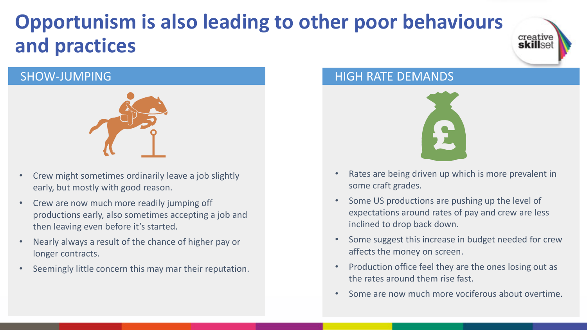### **Opportunism is also leading to other poor behaviours and practices**



#### SHOW-JUMPING



- Crew might sometimes ordinarily leave a job slightly early, but mostly with good reason.
- Crew are now much more readily jumping off productions early, also sometimes accepting a job and then leaving even before it's started.
- Nearly always a result of the chance of higher pay or longer contracts.
- Seemingly little concern this may mar their reputation.

#### HIGH RATE DEMANDS



- Rates are being driven up which is more prevalent in some craft grades.
- Some US productions are pushing up the level of expectations around rates of pay and crew are less inclined to drop back down.
- Some suggest this increase in budget needed for crew affects the money on screen.
- Production office feel they are the ones losing out as the rates around them rise fast.
- Some are now much more vociferous about overtime.